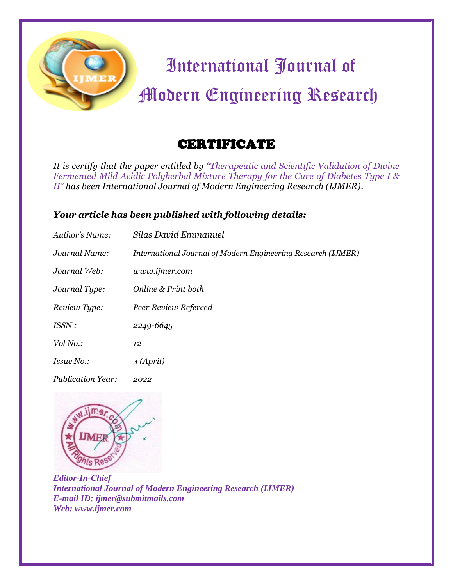

*It is certify that the paper entitled by "Therapeutic and Scientific Validation of Divine Fermented Mild Acidic Polyherbal Mixture Therapy for the Cure of Diabetes Type I & II" has been International Journal of Modern Engineering Research (IJMER).*

### *Your article has been published with following details:*

| Author's Name:           | Silas David Emmanuel                                         |
|--------------------------|--------------------------------------------------------------|
| Journal Name:            | International Journal of Modern Engineering Research (IJMER) |
| Journal Web:             | www.ijmer.com                                                |
| Journal Type:            | Online & Print both                                          |
| Review Type:             | Peer Review Refereed                                         |
| ISSN :                   | 2249-6645                                                    |
| Vol No.:                 | 12                                                           |
| Issue No.:               | $\overline{4\,(April)}$                                      |
| <b>Publication Year:</b> | 2022                                                         |

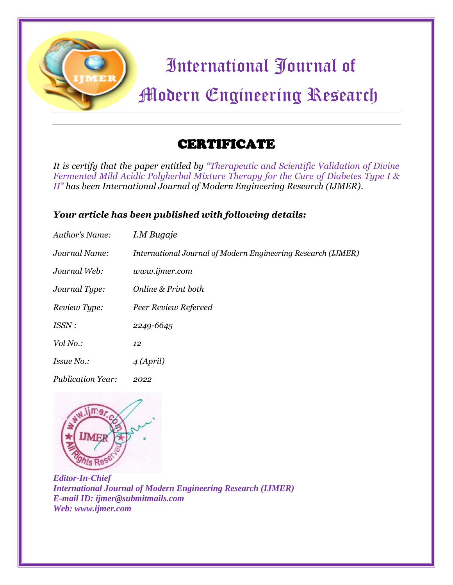

*It is certify that the paper entitled by "Therapeutic and Scientific Validation of Divine Fermented Mild Acidic Polyherbal Mixture Therapy for the Cure of Diabetes Type I & II" has been International Journal of Modern Engineering Research (IJMER).*

### *Your article has been published with following details:*

| Author's Name:           | I.M Bugaje                                                   |
|--------------------------|--------------------------------------------------------------|
| Journal Name:            | International Journal of Modern Engineering Research (IJMER) |
| Journal Web:             | www.ijmer.com                                                |
| Journal Type:            | Online & Print both                                          |
| Review Type:             | Peer Review Refereed                                         |
| ISSN :                   | 2249-6645                                                    |
| Vol No.:                 | 12                                                           |
| Issue No.:               | $\overline{4\,(April)}$                                      |
| <b>Publication Year:</b> | 2022                                                         |

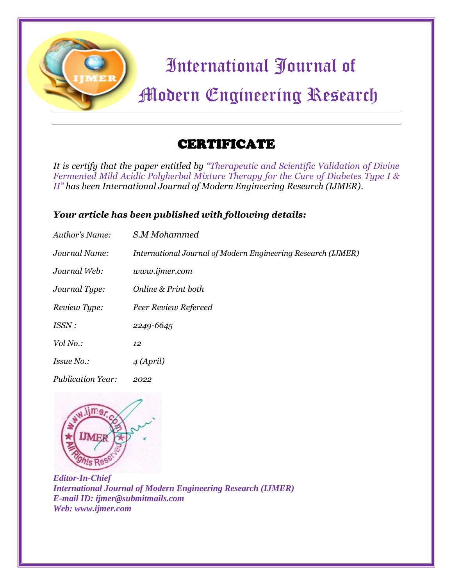

*It is certify that the paper entitled by "Therapeutic and Scientific Validation of Divine Fermented Mild Acidic Polyherbal Mixture Therapy for the Cure of Diabetes Type I & II" has been International Journal of Modern Engineering Research (IJMER).*

### *Your article has been published with following details:*

| Author's Name:           | S.M Mohammed                                                 |
|--------------------------|--------------------------------------------------------------|
| Journal Name:            | International Journal of Modern Engineering Research (IJMER) |
| Journal Web:             | www.ijmer.com                                                |
| Journal Type:            | Online & Print both                                          |
| Review Type:             | Peer Review Refereed                                         |
| ISSN :                   | 2249-6645                                                    |
| Vol No.:                 | 12                                                           |
| Issue No.:               | $\overline{4\,(April)}$                                      |
| <b>Publication Year:</b> | 2022                                                         |